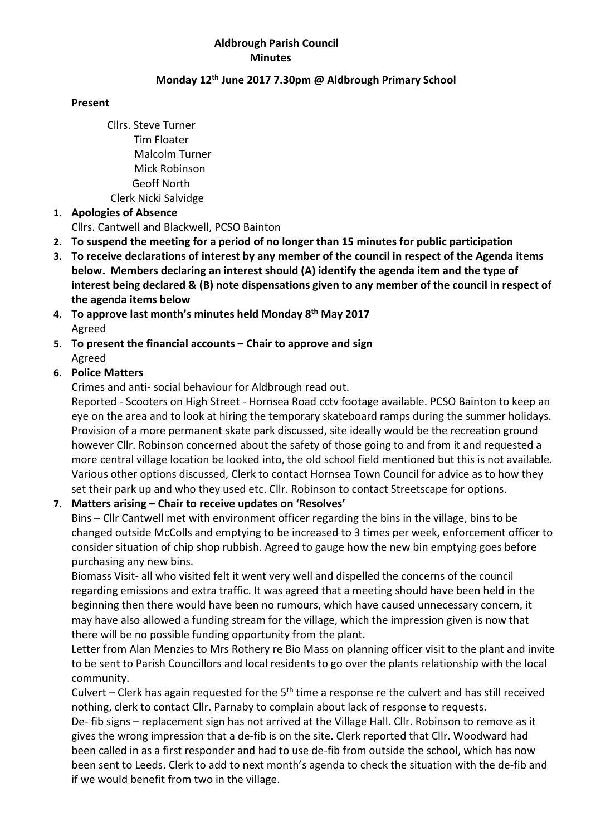#### Aldbrough Parish Council Minutes

### Monday 12th June 2017 7.30pm @ Aldbrough Primary School

#### Present

Cllrs. Steve Turner Tim Floater Malcolm Turner Mick Robinson Geoff North Clerk Nicki Salvidge

### 1. Apologies of Absence

Cllrs. Cantwell and Blackwell, PCSO Bainton

- 2. To suspend the meeting for a period of no longer than 15 minutes for public participation
- 3. To receive declarations of interest by any member of the council in respect of the Agenda items below. Members declaring an interest should (A) identify the agenda item and the type of interest being declared & (B) note dispensations given to any member of the council in respect of the agenda items below
- 4. To approve last month's minutes held Monday 8<sup>th</sup> May 2017 Agreed
- 5. To present the financial accounts Chair to approve and sign Agreed

# 6. Police Matters

Crimes and anti- social behaviour for Aldbrough read out.

Reported - Scooters on High Street - Hornsea Road cctv footage available. PCSO Bainton to keep an eye on the area and to look at hiring the temporary skateboard ramps during the summer holidays. Provision of a more permanent skate park discussed, site ideally would be the recreation ground however Cllr. Robinson concerned about the safety of those going to and from it and requested a more central village location be looked into, the old school field mentioned but this is not available. Various other options discussed, Clerk to contact Hornsea Town Council for advice as to how they set their park up and who they used etc. Cllr. Robinson to contact Streetscape for options.

# 7. Matters arising – Chair to receive updates on 'Resolves'

Bins – Cllr Cantwell met with environment officer regarding the bins in the village, bins to be changed outside McColls and emptying to be increased to 3 times per week, enforcement officer to consider situation of chip shop rubbish. Agreed to gauge how the new bin emptying goes before purchasing any new bins.

Biomass Visit- all who visited felt it went very well and dispelled the concerns of the council regarding emissions and extra traffic. It was agreed that a meeting should have been held in the beginning then there would have been no rumours, which have caused unnecessary concern, it may have also allowed a funding stream for the village, which the impression given is now that there will be no possible funding opportunity from the plant.

Letter from Alan Menzies to Mrs Rothery re Bio Mass on planning officer visit to the plant and invite to be sent to Parish Councillors and local residents to go over the plants relationship with the local community.

Culvert – Clerk has again requested for the  $5<sup>th</sup>$  time a response re the culvert and has still received nothing, clerk to contact Cllr. Parnaby to complain about lack of response to requests.

De- fib signs – replacement sign has not arrived at the Village Hall. Cllr. Robinson to remove as it gives the wrong impression that a de-fib is on the site. Clerk reported that Cllr. Woodward had been called in as a first responder and had to use de-fib from outside the school, which has now been sent to Leeds. Clerk to add to next month's agenda to check the situation with the de-fib and if we would benefit from two in the village.